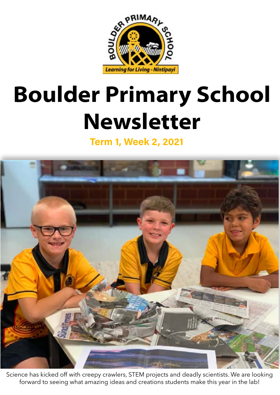

## **Boulder Primary School Newsletter**

**Term 1, Week 2, 2021**



Science has kicked off with creepy crawlers, STEM projects and deadly scientists. We are looking forward to seeing what amazing ideas and creations students make this year in the lab!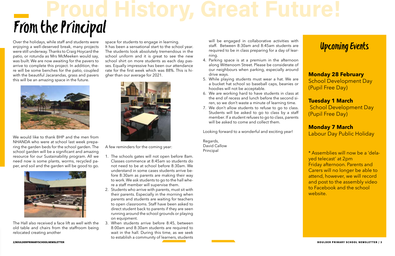# From the Principal **Proud History, Great Future!**

### Upcoming Events

**Monday 28 February**  School Development Day (Pupil Free Day)

**Tuesday 1 March** School Development Day (Pupil Free Day)

**Monday 7 March**  Labour Day Public Holiday

\* Assemblies will now be a 'delayed telecast' at 2pm Friday afternoon. Parents and Carers will no longer be able to attend, however, we will record and post to the assembly video to Facebook and the school website.

Over the holidays, while staff and students were enjoying a well-deserved break, many projects were still underway. Thanks to Craig Hoycard the patio, or rotunda as Mrs McMeeken would say, was built. We are now awaiting for the pavers to arrive to complete this project. In addition, there will be some benches for the patio, coupled with the beautiful Jacarandas, grass and pavers this will be an amazing space in the future.



We would like to thank BHP and the men from NHANDA who were at school last week preparing the garden beds for the school garden. The school garden will be a significant and amazing resource for our Sustainability program. All we need now is some plants, worms, recycled paper, and soil and the garden will be good to go.



The Hall also received a face lift as well with the old table and chairs from the staffroom being relocated creating another

will be engaged in collaborative activities with staff. Between 8:30am and 8:45am students are required to be in class preparing for a day of learning.

- 4. Parking space is at a premium in the afternoon along Wittenoom Street. Please be considerate of our neighbours when parking, especially around drive ways.
- 5. While playing students must wear a hat. We are a bucket hat school so baseball caps, beanies or hoodies will not be acceptable.
- 6. We are working hard to have students in class at the end of recess and lunch before the second siren, so we don't waste a minute of learning time.
- 7. We don't allow students to refuse to go to class. Students will be asked to go to class by a staff member. If a student refuses to go to class, parents will be asked to come and collect them.

space for students to engage in learning. It has been a sensational start to the school year. The students look absolutely tremendous in the school uniform and it is great to see the new school shirt on more students as each day passes. Equally impressive has been our attendance rate for the first week which was 88%. This is higher than our average for 2021.



A few reminders for the coming year:

- 1. The schools gates will not open before 8am. Classes commence at 8:45am so students do not need to be at school before 8:30am. We understand in some cases students arrive before 8:30am as parents are making their way to work. We ask students to go to the hall where a staff member will supervise them.
- 2. Students who arrive with parents, must sit with their parents. Especially in the morning when parents and students are waiting for teachers to open classrooms. Staff have been asked to direct student back to parents if they are seen running around the school grounds or playing on equipment.
- 3. When students arrive before 8:45, between 8:00am and 8:30am students are required to wait in the hall. During this time, as we seek to establish a community of learners, students

Looking forward to a wonderful and exciting year!

Regards, David Callow Principal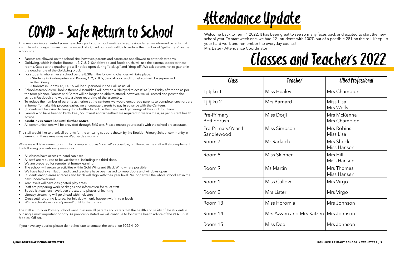# COVID - Safe Return to School

This week we implemented some new changes to our school routines. In a previous letter we informed parents that a significant strategy to minimise the impact of a Covid outbreak will be to reduce the number of "gatherings" on the school site.:

- Parents are allowed on the school site, however, parents and carers are not allowed to enter classrooms.
- Goldwing, which includes Rooms 1, 2, 7, 8, 9, Sandalwood and Bottlebrush, will use the external doors to these rooms. Gates to the quadrangle will not be open during "pick up" and "drop off". We ask parents not to gather in the quadrangle of the Goldwing block.
- For students who arrive at school before 8:30am the following changes will take place: - Students in Kindergarten and Rooms, 1, 2, 7, 8, 9, Sandalwood and Bottlebrush will be supervised in the Library

-Students in Rooms 13, 14, 15 will be supervised in the Hall, as usual.

While we will take every opportunity to keep school as "normal" as possible, on Thursday the staff will also implement the following precautionary measures:

- School assemblies will look different. Assemblies will now be a "delayed telecast" at 2pm Friday afternoon as per the term planner. Parents and Carers will no longer be able to attend, however, we will record and post to the schools Facebook and web site a video recording of the assembly.
- To reduce the number of parents gathering at the canteen, we would encourage parents to complete lunch orders at home. To make this process easier, we encourage parents to pay in advance with the Canteen.
- Students will be asked to bring drink bottles to reduce the use of and gatherings at the drink fountains.
- Parents who have been to Perth, Peel, Southwest and Wheatbelt are required to wear a mask, as per current health advice.
- **• KindiLink is cancelled until further notice.**
- All communications will be provided through SMS text. Please ensure your details with the school are accurate.

The staff would like to thank all parents for the amazing support shown by the Boulder Primary School community in implementing these measures on Wednesday morning.

- All classes have access to hand sanitiser
- All staff are required to be vaccinated, including the third dose.
- We are prepared for remote (at home) learning
- The school will organise activities within Gold Wing and Black Wing where possible.
- We have had a ventilation audit, and teachers have been asked to keep doors and windows open
- Students eating areas at recess and lunch will align with their year level. No longer will the whole school eat in the new undercover area.
- Year levels will have designated play areas
- Staff are preparing work packages and information for relief staff
- Specialist teachers have been alocated to phases of learning
- Literacy streaming will go ahead within clusters
- Cross setting during Literacy for InitiaLit will only happen within year levels
- Whole school events are 'pasued' until further notice

The staff at Boulder Primary School want to assure all parents and carers that the health and safety of the students is our single most important priority. As previously stated we will continue to follow the health advice of the W.A. Chief Medical Officer.

If you have any queries please do not hesitate to contact the school on 9092 4100.

# Attendance Update

Welcome back to Term 1 2022. It has been great to see so many faces back and excited to start the new school year. To start week one, we had 221 students with 100% out of a possible 281 on the roll. Keep up your hard work and remember the everyday counts! Mrs Lister - Attendance Coordinator



### Classes and Teachers 2022

| Class                             | Teacher                                | <b>Allied Professional</b>       |  |
|-----------------------------------|----------------------------------------|----------------------------------|--|
| Tjitjiku 1                        | Miss Healey                            | Mrs Champion                     |  |
| Tjitjiku 2                        | Mrs Barnard                            | Miss Lisa<br>Mrs Wells           |  |
| Pre-Primary<br><b>Bottlebrush</b> | Miss Dorji                             | Mrs McKenna<br>Mrs Champion      |  |
| Pre-Primary/Year 1<br>Sandlewood  | Miss Simpson                           | Mrs Robins<br>Miss Lisa          |  |
| Room 7                            | Mr Radaich                             | Mrs Sheck<br>Miss Hansen         |  |
| Room 8                            | Miss Skinner                           | Mrs Hill<br>Miss Hansen          |  |
| Room 9                            | Ms Martin                              | Mrs Thomas<br><b>Miss Hansen</b> |  |
| Room 1                            | <b>Miss Callow</b>                     | Mrs Virgo                        |  |
| Room 2                            | Mrs Lister                             | Mrs Virgo                        |  |
| Room 13                           | Miss Horomia                           | Mrs Johnson                      |  |
| Room 14                           | Mrs Azzam and Mrs Katzen   Mrs Johnson |                                  |  |
| Room 15                           | Miss Dee                               | Mrs Johnson                      |  |

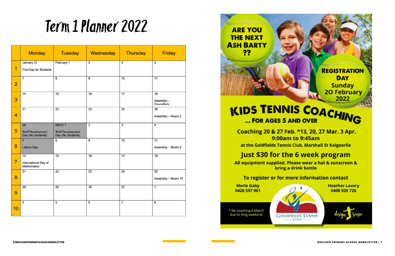# Term 1 Planner 2022

|                | <b>Monday</b>                                       | <b>Tuesday</b>                                           | Wednesday      | <b>Thursday</b>         | Friday                                 |
|----------------|-----------------------------------------------------|----------------------------------------------------------|----------------|-------------------------|----------------------------------------|
| 1              | January 31<br>First Day for Students                | February 1                                               | $\overline{2}$ | $\overline{\mathbf{3}}$ | $\overline{4}$                         |
| $\overline{2}$ | $\overline{7}$                                      | 8                                                        | 9              | 10                      | 11                                     |
| 3              | 14                                                  | 15                                                       | 16             | 17                      | 18<br>Assembly -<br><b>Councillors</b> |
| 4              | 21                                                  | 22                                                       | 23             | 24                      | 25<br>Assembly - Room 2                |
| 5              | 28<br><b>Staff Development</b><br>Day (No Students) | March 1<br><b>Staff Development</b><br>Day (No Students) | $\overline{2}$ | 3                       | 4                                      |
| 6              | $\overline{7}$<br><b>Labour Day</b>                 | 8                                                        | 9              | 10                      | 11<br>Assembly - Room 9                |
| $\overline{7}$ | 14<br>International Day of<br>Mathematics           | 15                                                       | 16             | 17                      | 18                                     |
| 8              | 21                                                  | 22                                                       | 23             | 24                      | 25<br>Assembly - Room 13               |
| 9              | 28                                                  | 29                                                       | 30             | 31                      | 1                                      |
| 10             | 4                                                   | 5                                                        | 6              | 7                       | 8                                      |



# ... FOR AGES 5 AND OVER

Coaching 20 & 27 Feb. \*13, 20, 27 Mar. 3 Apr. 9:00am to 9:45am at the Goldfields Tennis Club, Marshall St Kalgoorlie

### Just \$30 for the 6 week program

All equipment supplied. Please wear a hat & sunscreen & bring a drink bottle

**CLUB** 

**Merle Gaby** 0428 597 961

\* No coaching 6 March due to long weekend

**GOLDFIELDS TENNIS** 



**REGISTRATION** 

**DAY** 

**Sunday** 

**20 February** 2022

To register or for more information contact

**Heather Lavery** 0408 935 726